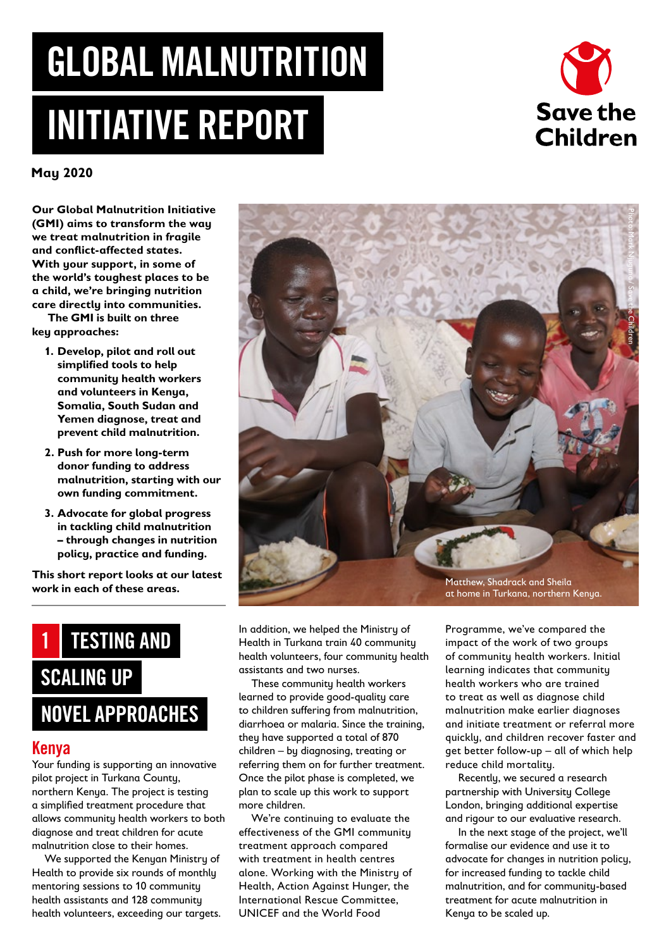# GLOBAL MALNUTRITION INITIATIVE REPORT



**May 2020**

**Our Global Malnutrition Initiative (GMI) aims to transform the way we treat malnutrition in fragile and conflict-affected states. With your support, in some of the world's toughest places to be a child, we're bringing nutrition care directly into communities. The GMI is built on three** 

**key approaches:**

- **1. Develop, pilot and roll out simplified tools to help community health workers and volunteers in Kenya, Somalia, South Sudan and Yemen diagnose, treat and prevent child malnutrition.**
- **2. Push for more long-term donor funding to address malnutrition, starting with our own funding commitment.**
- **3. Advocate for global progress in tackling child malnutrition – through changes in nutrition policy, practice and funding.**

**This short report looks at our latest work in each of these areas.**



#### Kenya

Your funding is supporting an innovative pilot project in Turkana County, northern Kenya. The project is testing a simplified treatment procedure that allows community health workers to both diagnose and treat children for acute malnutrition close to their homes.

We supported the Kenyan Ministry of Health to provide six rounds of monthly mentoring sessions to 10 community health assistants and 128 community health volunteers, exceeding our targets.



In addition, we helped the Ministry of Health in Turkana train 40 community health volunteers, four community health assistants and two nurses.

These community health workers learned to provide good-quality care to children suffering from malnutrition, diarrhoea or malaria. Since the training, they have supported a total of 870 children – by diagnosing, treating or referring them on for further treatment. Once the pilot phase is completed, we plan to scale up this work to support more children.

We're continuing to evaluate the effectiveness of the GMI community treatment approach compared with treatment in health centres alone. Working with the Ministry of Health, Action Against Hunger, the International Rescue Committee, UNICEF and the World Food

Programme, we've compared the impact of the work of two groups of community health workers. Initial learning indicates that community health workers who are trained to treat as well as diagnose child malnutrition make earlier diagnoses and initiate treatment or referral more quickly, and children recover faster and get better follow-up – all of which help reduce child mortality.

Recently, we secured a research partnership with University College London, bringing additional expertise and rigour to our evaluative research.

In the next stage of the project, we'll formalise our evidence and use it to advocate for changes in nutrition policy, for increased funding to tackle child malnutrition, and for community-based treatment for acute malnutrition in Kenya to be scaled up.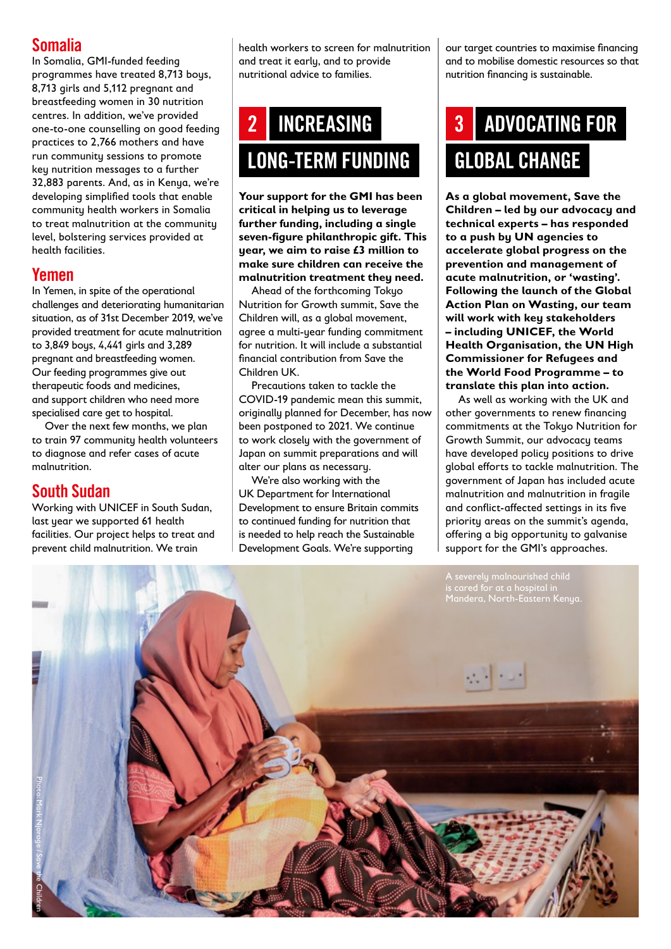#### Somalia

In Somalia, GMI-funded feeding programmes have treated 8,713 boys, 8,713 girls and 5,112 pregnant and breastfeeding women in 30 nutrition centres. In addition, we've provided one-to-one counselling on good feeding practices to 2,766 mothers and have run community sessions to promote key nutrition messages to a further 32,883 parents. And, as in Kenya, we're developing simplified tools that enable community health workers in Somalia to treat malnutrition at the community level, bolstering services provided at health facilities.

#### Yemen

In Yemen, in spite of the operational challenges and deteriorating humanitarian situation, as of 31st December 2019, we've provided treatment for acute malnutrition to 3,849 boys, 4,441 girls and 3,289 pregnant and breastfeeding women. Our feeding programmes give out therapeutic foods and medicines, and support children who need more specialised care get to hospital.

Over the next few months, we plan to train 97 community health volunteers to diagnose and refer cases of acute malnutrition.

#### South Sudan

Working with UNICEF in South Sudan, last year we supported 61 health facilities. Our project helps to treat and prevent child malnutrition. We train

health workers to screen for malnutrition and treat it early, and to provide nutritional advice to families.

### INCREASING LONG-TERM FUNDING 2

**Your support for the GMI has been critical in helping us to leverage further funding, including a single seven-figure philanthropic gift. This year, we aim to raise £3 million to make sure children can receive the malnutrition treatment they need.**

Ahead of the forthcoming Tokyo Nutrition for Growth summit, Save the Children will, as a global movement, agree a multi-year funding commitment for nutrition. It will include a substantial financial contribution from Save the Children UK.

Precautions taken to tackle the COVID-19 pandemic mean this summit, originally planned for December, has now been postponed to 2021. We continue to work closely with the government of Japan on summit preparations and will alter our plans as necessary.

We're also working with the UK Department for International Development to ensure Britain commits to continued funding for nutrition that is needed to help reach the Sustainable Development Goals. We're supporting

our target countries to maximise financing and to mobilise domestic resources so that nutrition financing is sustainable.

## ADVOCATING FOR GLOBAL CHANGE 3

**As a global movement, Save the Children – led by our advocacy and technical experts – has responded to a push by UN agencies to accelerate global progress on the prevention and management of acute malnutrition, or 'wasting'. Following the launch of the Global Action Plan on Wasting, our team will work with key stakeholders – including UNICEF, the World Health Organisation, the UN High Commissioner for Refugees and the World Food Programme – to translate this plan into action.**

As well as working with the UK and other governments to renew financing commitments at the Tokyo Nutrition for Growth Summit, our advocacy teams have developed policy positions to drive global efforts to tackle malnutrition. The government of Japan has included acute malnutrition and malnutrition in fragile and conflict-affected settings in its five priority areas on the summit's agenda, offering a big opportunity to galvanise support for the GMI's approaches.